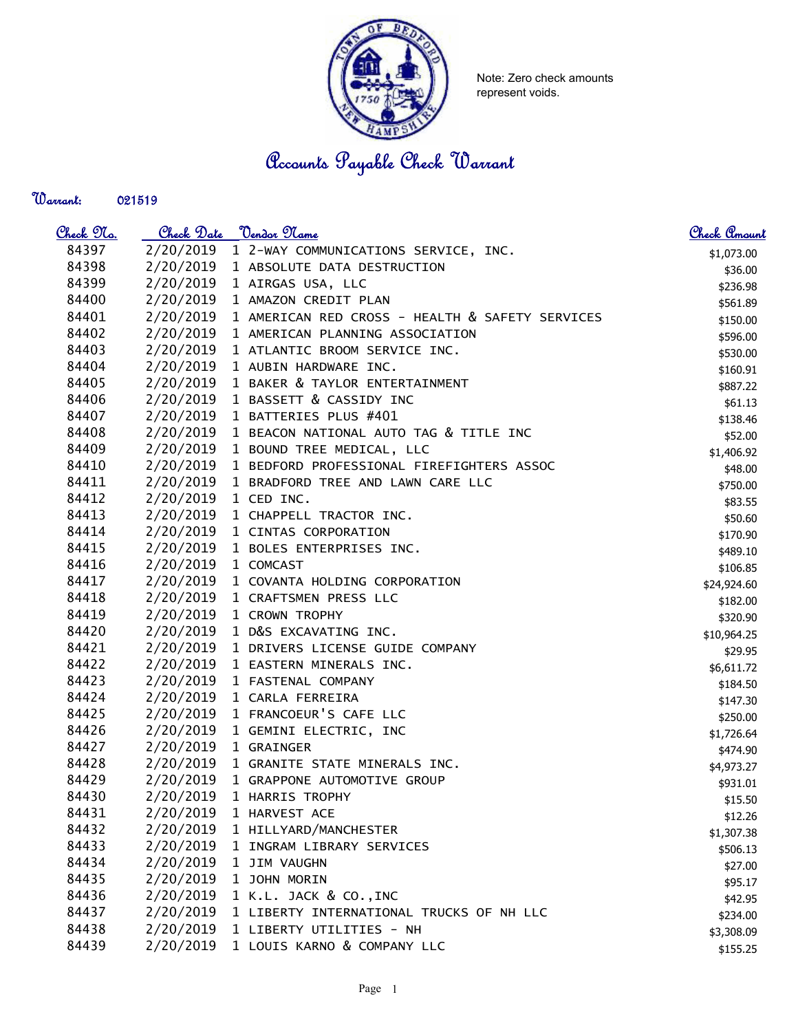

Note: Zero check amounts represent voids.

Accounts Payable Check Warrant

## Warrant:

| <u>Check No.</u> | Check Date | <u> Vendor Name</u>                             | Check Amount |
|------------------|------------|-------------------------------------------------|--------------|
| 84397            | 2/20/2019  | 1 2-WAY COMMUNICATIONS SERVICE, INC.            | \$1,073.00   |
| 84398            | 2/20/2019  | 1 ABSOLUTE DATA DESTRUCTION                     | \$36.00      |
| 84399            | 2/20/2019  | 1 AIRGAS USA, LLC                               | \$236.98     |
| 84400            | 2/20/2019  | 1 AMAZON CREDIT PLAN                            | \$561.89     |
| 84401            | 2/20/2019  | 1 AMERICAN RED CROSS - HEALTH & SAFETY SERVICES | \$150.00     |
| 84402            | 2/20/2019  | 1 AMERICAN PLANNING ASSOCIATION                 | \$596.00     |
| 84403            | 2/20/2019  | 1 ATLANTIC BROOM SERVICE INC.                   | \$530.00     |
| 84404            | 2/20/2019  | 1 AUBIN HARDWARE INC.                           | \$160.91     |
| 84405            | 2/20/2019  | 1 BAKER & TAYLOR ENTERTAINMENT                  | \$887.22     |
| 84406            | 2/20/2019  | 1 BASSETT & CASSIDY INC                         | \$61.13      |
| 84407            | 2/20/2019  | 1 BATTERIES PLUS #401                           | \$138.46     |
| 84408            | 2/20/2019  | 1 BEACON NATIONAL AUTO TAG & TITLE INC          | \$52.00      |
| 84409            | 2/20/2019  | 1 BOUND TREE MEDICAL, LLC                       | \$1,406.92   |
| 84410            | 2/20/2019  | 1 BEDFORD PROFESSIONAL FIREFIGHTERS ASSOC       | \$48.00      |
| 84411            | 2/20/2019  | 1 BRADFORD TREE AND LAWN CARE LLC               | \$750.00     |
| 84412            | 2/20/2019  | 1 CED INC.                                      | \$83.55      |
| 84413            | 2/20/2019  | 1 CHAPPELL TRACTOR INC.                         | \$50.60      |
| 84414            | 2/20/2019  | 1 CINTAS CORPORATION                            | \$170.90     |
| 84415            | 2/20/2019  | 1 BOLES ENTERPRISES INC.                        | \$489.10     |
| 84416            | 2/20/2019  | 1 COMCAST                                       | \$106.85     |
| 84417            | 2/20/2019  | 1 COVANTA HOLDING CORPORATION                   | \$24,924.60  |
| 84418            | 2/20/2019  | 1 CRAFTSMEN PRESS LLC                           | \$182.00     |
| 84419            | 2/20/2019  | 1 CROWN TROPHY                                  | \$320.90     |
| 84420            | 2/20/2019  | 1 D&S EXCAVATING INC.                           | \$10,964.25  |
| 84421            | 2/20/2019  | 1 DRIVERS LICENSE GUIDE COMPANY                 | \$29.95      |
| 84422            | 2/20/2019  | 1 EASTERN MINERALS INC.                         | \$6,611.72   |
| 84423            | 2/20/2019  | 1 FASTENAL COMPANY                              | \$184.50     |
| 84424            | 2/20/2019  | 1 CARLA FERREIRA                                | \$147.30     |
| 84425            | 2/20/2019  | 1 FRANCOEUR'S CAFE LLC                          | \$250.00     |
| 84426            | 2/20/2019  | 1 GEMINI ELECTRIC, INC                          | \$1,726.64   |
| 84427            | 2/20/2019  | 1 GRAINGER                                      | \$474.90     |
| 84428            | 2/20/2019  | 1 GRANITE STATE MINERALS INC.                   | \$4,973.27   |
| 84429            |            | 2/20/2019 1 GRAPPONE AUTOMOTIVE GROUP           | \$931.01     |
| 84430            | 2/20/2019  | 1 HARRIS TROPHY                                 | \$15.50      |
| 84431            | 2/20/2019  | 1 HARVEST ACE                                   | \$12.26      |
| 84432            | 2/20/2019  | 1 HILLYARD/MANCHESTER                           | \$1,307.38   |
| 84433            | 2/20/2019  | 1 INGRAM LIBRARY SERVICES                       | \$506.13     |
| 84434            | 2/20/2019  | 1 JIM VAUGHN                                    | \$27.00      |
| 84435            | 2/20/2019  | 1 JOHN MORIN                                    | \$95.17      |
| 84436            | 2/20/2019  | 1 K.L. JACK & CO., INC                          | \$42.95      |
| 84437            | 2/20/2019  | 1 LIBERTY INTERNATIONAL TRUCKS OF NH LLC        | \$234.00     |
| 84438            | 2/20/2019  | 1 LIBERTY UTILITIES - NH                        | \$3,308.09   |
| 84439            | 2/20/2019  | 1 LOUIS KARNO & COMPANY LLC                     | \$155.25     |
|                  |            |                                                 |              |